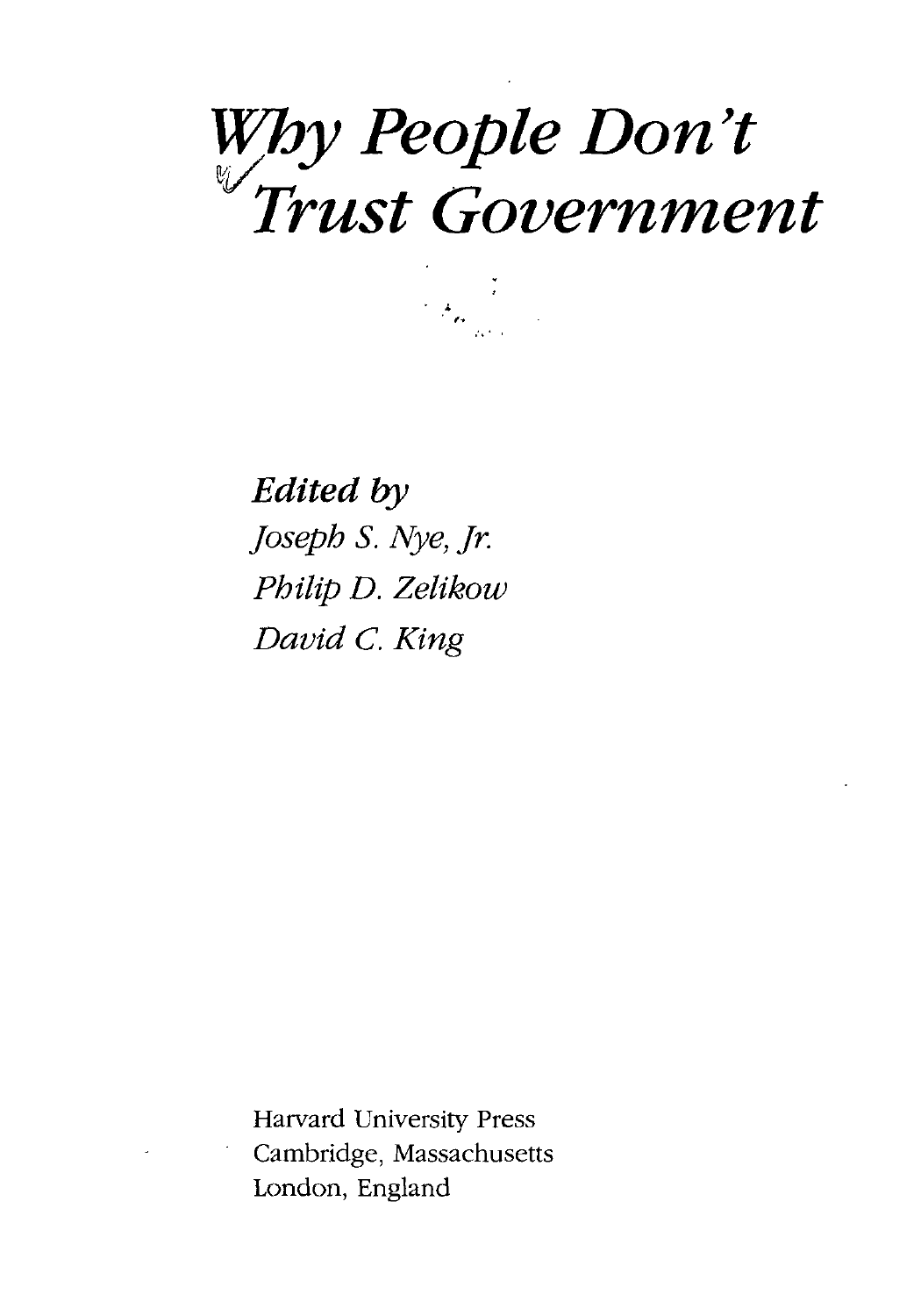# *Why People Don't Trust Government*

*Edited by Joseph S. Nye, Jr. Philip D. Zelikow David C. King*

Harvard University Press Cambridge, Massachusetts London, England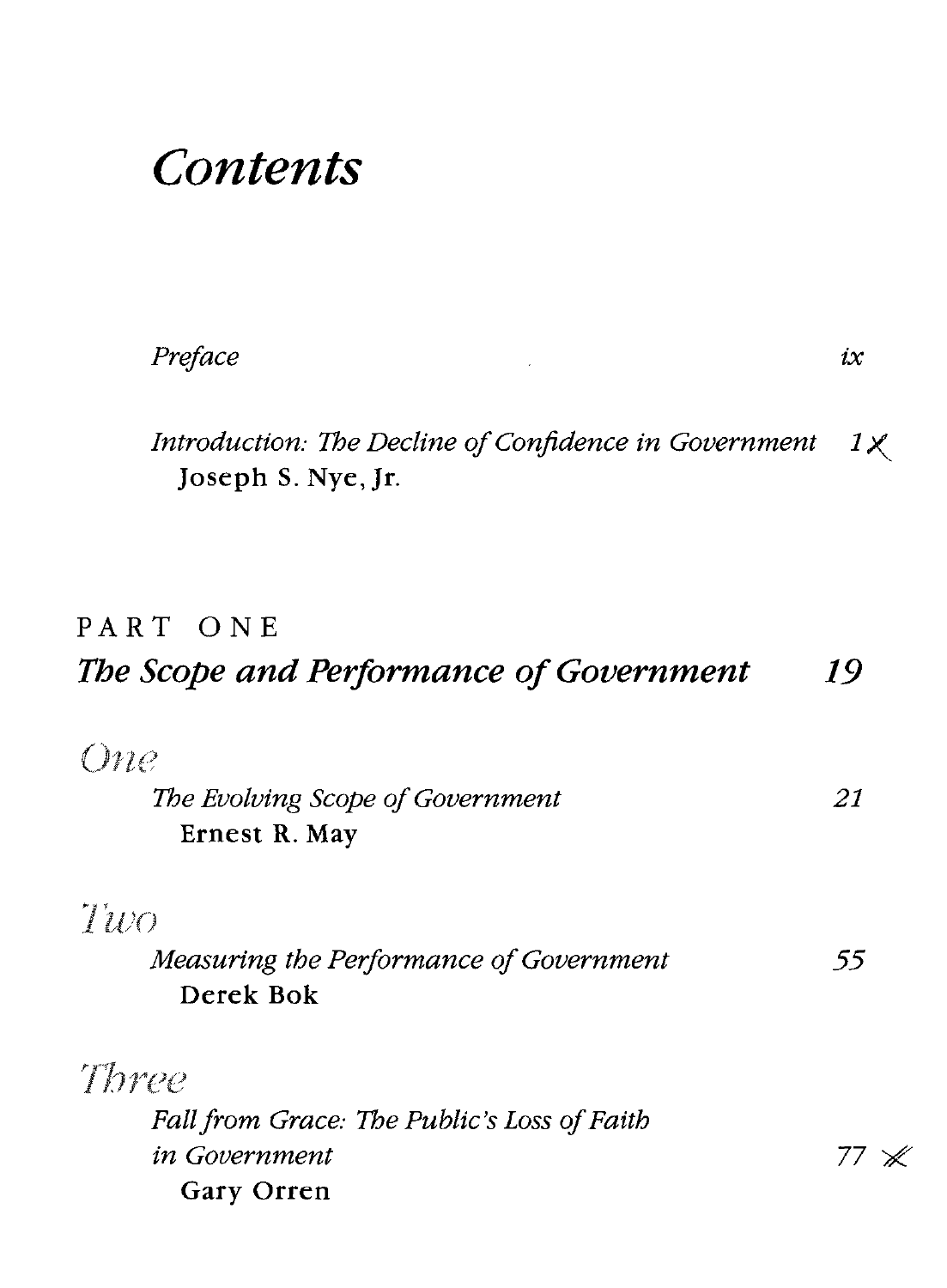# *Contents*

| Preface | iх |
|---------|----|
|         |    |

*Introduction: The Decline of Confidence in Government IX* Joseph S. Nye,Jr.

## PART ONE *The Scope and Performance of Government 19*

| <i>One</i>                                  |    |
|---------------------------------------------|----|
| The Evolving Scope of Government            | 21 |
| Ernest R. May                               |    |
| Two                                         |    |
| Measuring the Performance of Government     | 55 |
| Derek Bok                                   |    |
| Three                                       |    |
| Fall from Grace: The Public's Loss of Faith |    |
| in Government                               |    |
| <b>Gary Orren</b>                           |    |

X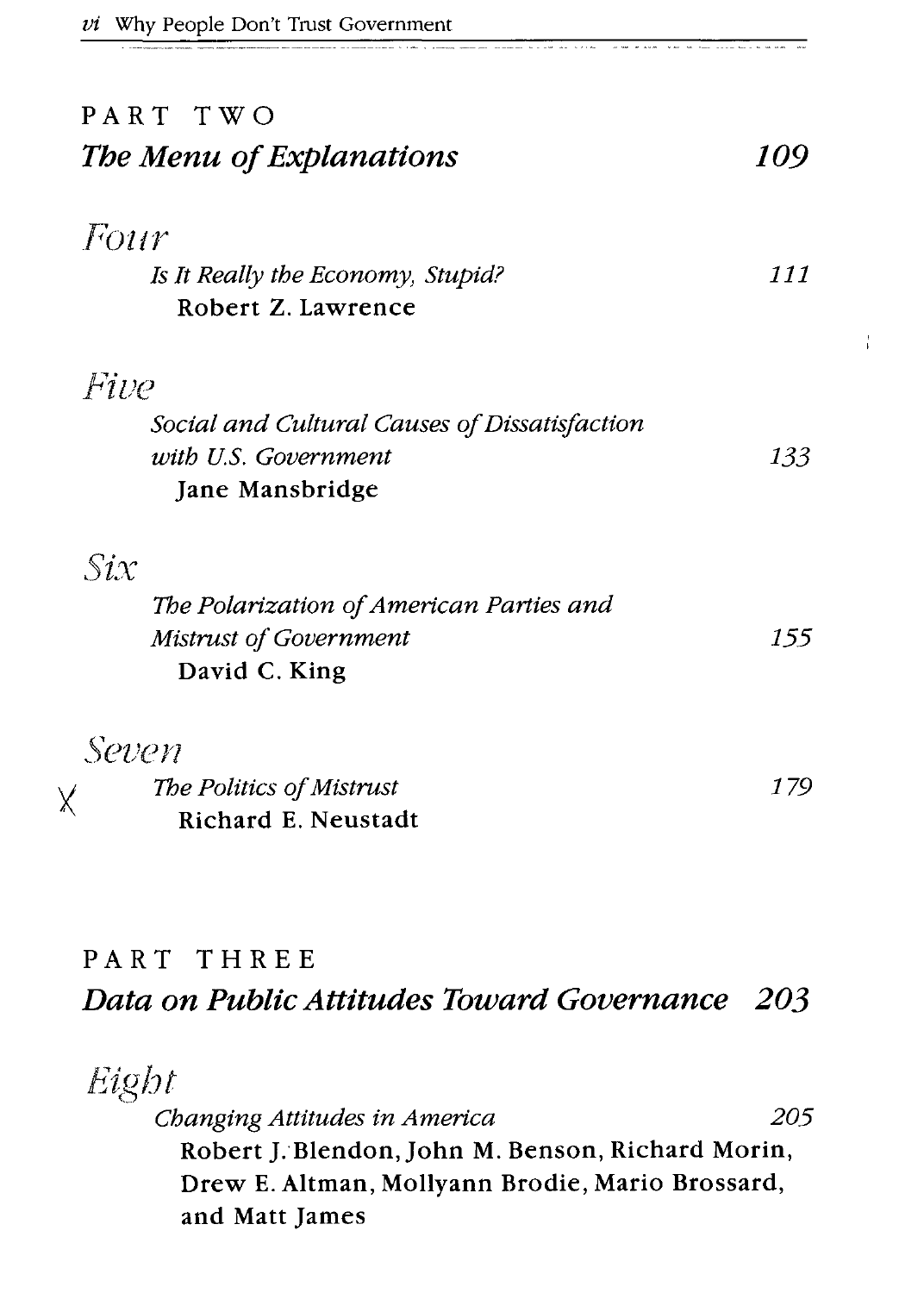| PART TWO<br>The Menu of Explanations          | 109 |
|-----------------------------------------------|-----|
|                                               |     |
| Four                                          |     |
| Is It Really the Economy, Stupid?             | 111 |
| Robert Z. Lawrence                            |     |
| Five                                          |     |
| Social and Cultural Causes of Dissatisfaction |     |
| with U.S. Government                          | 133 |
| Jane Mansbridge                               |     |
| $\mathcal{S}ix$                               |     |
| The Polarization of American Parties and      |     |
| Mistrust of Government                        | 155 |
| David C. King                                 |     |
| Seven                                         |     |
| The Politics of Mistrust                      | 179 |
| <b>Richard E. Neustadt</b>                    |     |
|                                               |     |
|                                               |     |

----<del>-------------</del>

 $\frac{1}{4}$ 

#### **PART THREE** *Data on Public Attitudes Toward Governance 203*

| Eight                                             |     |
|---------------------------------------------------|-----|
| Changing Attitudes in America                     | 205 |
| Robert J. Blendon, John M. Benson, Richard Morin, |     |
| Drew E. Altman, Mollyann Brodie, Mario Brossard,  |     |
| and Matt James                                    |     |